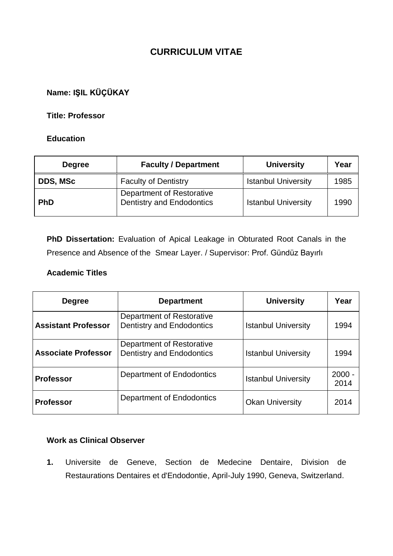## **CURRICULUM VITAE**

## **Name: IŞIL KÜÇÜKAY**

#### **Title: Professor**

#### **Education**

| <b>Degree</b> | <b>Faculty / Department</b>                            | <b>University</b>          | Year |
|---------------|--------------------------------------------------------|----------------------------|------|
| DDS, MSc      | <b>Faculty of Dentistry</b>                            | <b>Istanbul University</b> | 1985 |
| <b>PhD</b>    | Department of Restorative<br>Dentistry and Endodontics | <b>Istanbul University</b> | 1990 |

**PhD Dissertation:** Evaluation of Apical Leakage in Obturated Root Canals in the Presence and Absence of the Smear Layer. / Supervisor: Prof. Gündüz Bayırlı

#### **Academic Titles**

| <b>Degree</b>              | <b>Department</b>                                             | <b>University</b>          | Year             |
|----------------------------|---------------------------------------------------------------|----------------------------|------------------|
| <b>Assistant Professor</b> | Department of Restorative<br><b>Dentistry and Endodontics</b> | <b>Istanbul University</b> | 1994             |
| <b>Associate Professor</b> | Department of Restorative<br>Dentistry and Endodontics        | <b>Istanbul University</b> | 1994             |
| <b>Professor</b>           | Department of Endodontics                                     | <b>Istanbul University</b> | $2000 -$<br>2014 |
| <b>Professor</b>           | Department of Endodontics                                     | <b>Okan University</b>     | 2014             |

## **Work as Clinical Observer**

**1.** Universite de Geneve, Section de Medecine Dentaire, Division de Restaurations Dentaires et d'Endodontie, April-July 1990, Geneva, Switzerland.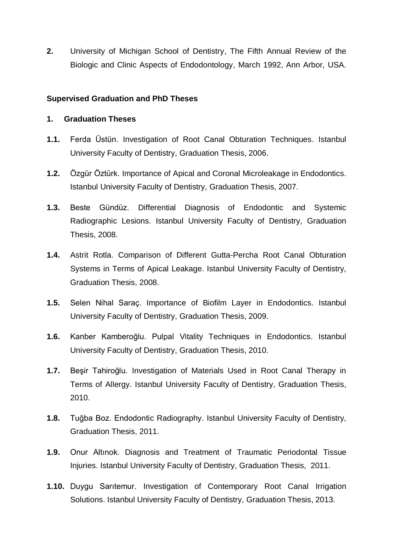**2.** University of Michigan School of Dentistry, The Fifth Annual Review of the Biologic and Clinic Aspects of Endodontology, March 1992, Ann Arbor, USA.

## **Supervised Graduation and PhD Theses**

#### **1. Graduation Theses**

- **1.1.** Ferda Üstün. Investigation of Root Canal Obturation Techniques. Istanbul University Faculty of Dentistry, Graduation Thesis, 2006.
- **1.2.** Özgür Öztürk. Importance of Apical and Coronal Microleakage in Endodontics. Istanbul University Faculty of Dentistry, Graduation Thesis, 2007.
- **1.3.** Beste Gündüz. Differential Diagnosis of Endodontic and Systemic Radiographic Lesions. Istanbul University Faculty of Dentistry, Graduation Thesis, 2008.
- **1.4.** Astrit Rotla. Comparison of Different Gutta-Percha Root Canal Obturation Systems in Terms of Apical Leakage. Istanbul University Faculty of Dentistry, Graduation Thesis, 2008.
- **1.5.** Selen Nihal Saraç. Importance of Biofilm Layer in Endodontics. Istanbul University Faculty of Dentistry, Graduation Thesis, 2009.
- **1.6.** Kanber Kamberoğlu. Pulpal Vitality Techniques in Endodontics. Istanbul University Faculty of Dentistry, Graduation Thesis, 2010.
- **1.7.** Beşir Tahiroğlu. Investigation of Materials Used in Root Canal Therapy in Terms of Allergy. Istanbul University Faculty of Dentistry, Graduation Thesis, 2010.
- **1.8.** Tuğba Boz. Endodontic Radiography. Istanbul University Faculty of Dentistry, Graduation Thesis, 2011.
- **1.9.** Onur Altınok. Diagnosis and Treatment of Traumatic Periodontal Tissue Injuries. Istanbul University Faculty of Dentistry, Graduation Thesis, 2011.
- **1.10.** Duygu Sarıtemur. Investigation of Contemporary Root Canal Irrigation Solutions. Istanbul University Faculty of Dentistry, Graduation Thesis, 2013.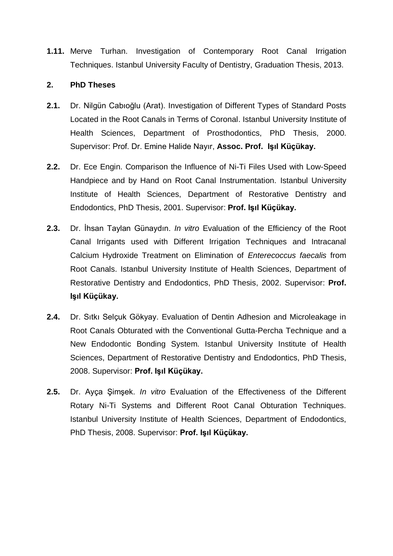**1.11.** Merve Turhan. Investigation of Contemporary Root Canal Irrigation Techniques. Istanbul University Faculty of Dentistry, Graduation Thesis, 2013.

#### **2. PhD Theses**

- **2.1.** Dr. Nilgün Cabıoğlu (Arat). Investigation of Different Types of Standard Posts Located in the Root Canals in Terms of Coronal. Istanbul University Institute of Health Sciences, Department of Prosthodontics, PhD Thesis, 2000. Supervisor: Prof. Dr. Emine Halide Nayır, **Assoc. Prof. Işıl Küçükay.**
- **2.2.** Dr. Ece Engin. Comparison the Influence of Ni-Ti Files Used with Low-Speed Handpiece and by Hand on Root Canal Instrumentation. Istanbul University Institute of Health Sciences, Department of Restorative Dentistry and Endodontics, PhD Thesis, 2001. Supervisor: **Prof. Işıl Küçükay.**
- **2.3.** Dr. İhsan Taylan Günaydın. *In vitro* Evaluation of the Efficiency of the Root Canal Irrigants used with Different Irrigation Techniques and Intracanal Calcium Hydroxide Treatment on Elimination of *Enterecoccus faecalis* from Root Canals. Istanbul University Institute of Health Sciences, Department of Restorative Dentistry and Endodontics, PhD Thesis, 2002. Supervisor: **Prof. Işıl Küçükay.**
- **2.4.** Dr. Sıtkı Selçuk Gökyay. Evaluation of Dentin Adhesion and Microleakage in Root Canals Obturated with the Conventional Gutta-Percha Technique and a New Endodontic Bonding System. Istanbul University Institute of Health Sciences, Department of Restorative Dentistry and Endodontics, PhD Thesis, 2008. Supervisor: **Prof. Işıl Küçükay.**
- **2.5.** Dr. Ayça Şimşek. *In vitro* Evaluation of the Effectiveness of the Different Rotary Ni-Ti Systems and Different Root Canal Obturation Techniques. Istanbul University Institute of Health Sciences, Department of Endodontics, PhD Thesis, 2008. Supervisor: **Prof. Işıl Küçükay.**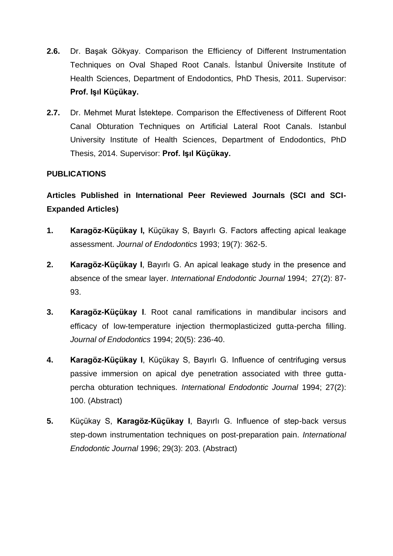- **2.6.** Dr. Başak Gökyay. Comparison the Efficiency of Different Instrumentation Techniques on Oval Shaped Root Canals. İstanbul Üniversite Institute of Health Sciences, Department of Endodontics, PhD Thesis, 2011. Supervisor: **Prof. Işıl Küçükay.**
- **2.7.** Dr. Mehmet Murat İstektepe. Comparison the Effectiveness of Different Root Canal Obturation Techniques on Artificial Lateral Root Canals. Istanbul University Institute of Health Sciences, Department of Endodontics, PhD Thesis, 2014. Supervisor: **Prof. Işıl Küçükay.**

## **PUBLICATIONS**

# **Articles Published in International Peer Reviewed Journals (SCI and SCI-Expanded Articles)**

- **1. Karagöz-Küçükay I,** Küçükay S, Bayırlı G. Factors affecting apical leakage assessment. *Journal of Endodontics* 1993; 19(7): 362-5.
- **2. Karagöz-Küçükay I**, Bayırlı G. An apical leakage study in the presence and absence of the smear layer. *International Endodontic Journal* 1994; 27(2): 87- 93.
- **3. Karagöz-Küçükay I**. Root canal ramifications in mandibular incisors and efficacy of low-temperature injection thermoplasticized gutta-percha filling. *Journal of Endodontics* 1994; 20(5): 236-40.
- **4. Karagöz-Küçükay I**, Küçükay S, Bayırlı G. Influence of centrifuging versus passive immersion on apical dye penetration associated with three guttapercha obturation techniques. *International Endodontic Journal* 1994; 27(2): 100. (Abstract)
- **5.** Küçükay S, **Karagöz-Küçükay I**, Bayırlı G. Influence of step-back versus step-down instrumentation techniques on post-preparation pain. *International Endodontic Journal* 1996; 29(3): 203. (Abstract)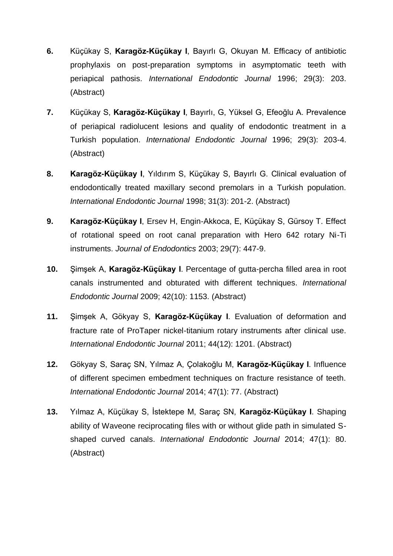- **6.** Küçükay S, **Karagöz-Küçükay I**, Bayırlı G, Okuyan M. Efficacy of antibiotic prophylaxis on post-preparation symptoms in asymptomatic teeth with periapical pathosis. *International Endodontic Journal* 1996; 29(3): 203. (Abstract)
- **7.** Küçükay S, **Karagöz-Küçükay I**, Bayırlı, G, Yüksel G, Efeoğlu A. Prevalence of periapical radiolucent lesions and quality of endodontic treatment in a Turkish population. *International Endodontic Journal* 1996; 29(3): 203-4. (Abstract)
- **8. Karagöz-Küçükay I**, Yıldırım S, Küçükay S, Bayırlı G. Clinical evaluation of endodontically treated maxillary second premolars in a Turkish population. *International Endodontic Journal* 1998; 31(3): 201-2. (Abstract)
- **9. Karagöz-Küçükay I**, Ersev H, Engin-Akkoca, E, Küçükay S, Gürsoy T. Effect of rotational speed on root canal preparation with Hero 642 rotary Ni-Ti instruments. *Journal of Endodontics* 2003; 29(7): 447-9.
- **10.** Şimşek A, **Karagöz-Küçükay I**. Percentage of gutta-percha filled area in root canals instrumented and obturated with different techniques. *International Endodontic Journal* 2009; 42(10): 1153. (Abstract)
- **11.** Şimşek A, Gökyay S, **Karagöz-Küçükay I**. Evaluation of deformation and fracture rate of ProTaper nickel-titanium rotary instruments after clinical use. *International Endodontic Journal* 2011; 44(12): 1201. (Abstract)
- **12.** Gökyay S, Saraç SN, Yılmaz A, Çolakoğlu M, **Karagöz-Küçükay I**. Influence of different specimen embedment techniques on fracture resistance of teeth. *International Endodontic Journal* 2014; 47(1): 77. (Abstract)
- **13.** Yılmaz A, Küçükay S, İstektepe M, Saraç SN, **Karagöz-Küçükay I**. Shaping ability of Waveone reciprocating files with or without glide path in simulated Sshaped curved canals. *International Endodontic Journal* 2014; 47(1): 80. (Abstract)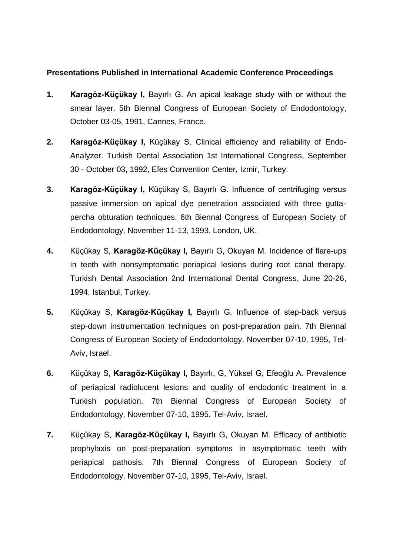## **Presentations Published in International Academic Conference Proceedings**

- **1. Karagöz-Küçükay I,** Bayırlı G. An apical leakage study with or without the smear layer. 5th Biennal Congress of European Society of Endodontology, October 03-05, 1991, Cannes, France.
- **2. Karagöz-Küçükay I,** Küçükay S. Clinical efficiency and reliability of Endo-Analyzer. Turkish Dental Association 1st International Congress, September 30 - October 03, 1992, Efes Convention Center, Izmir, Turkey.
- **3. Karagöz-Küçükay I,** Küçükay S, Bayırlı G. Influence of centrifuging versus passive immersion on apical dye penetration associated with three guttapercha obturation techniques. 6th Biennal Congress of European Society of Endodontology, November 11-13, 1993, London, UK.
- **4.** Küçükay S, **Karagöz-Küçükay I,** Bayırlı G, Okuyan M. Incidence of flare-ups in teeth with nonsymptomatic periapical lesions during root canal therapy. Turkish Dental Association 2nd International Dental Congress, June 20-26, 1994, Istanbul, Turkey.
- **5.** Küçükay S, **Karagöz-Küçükay I,** Bayırlı G. Influence of step-back versus step-down instrumentation techniques on post-preparation pain. 7th Biennal Congress of European Society of Endodontology, November 07-10, 1995, Tel-Aviv, Israel.
- **6.** Küçükay S, **Karagöz-Küçükay I,** Bayırlı, G, Yüksel G, Efeoğlu A. Prevalence of periapical radiolucent lesions and quality of endodontic treatment in a Turkish population. 7th Biennal Congress of European Society of Endodontology, November 07-10, 1995, Tel-Aviv, Israel.
- **7.** Küçükay S, **Karagöz-Küçükay I,** Bayırlı G, Okuyan M. Efficacy of antibiotic prophylaxis on post-preparation symptoms in asymptomatic teeth with periapical pathosis. 7th Biennal Congress of European Society of Endodontology, November 07-10, 1995, Tel-Aviv, Israel.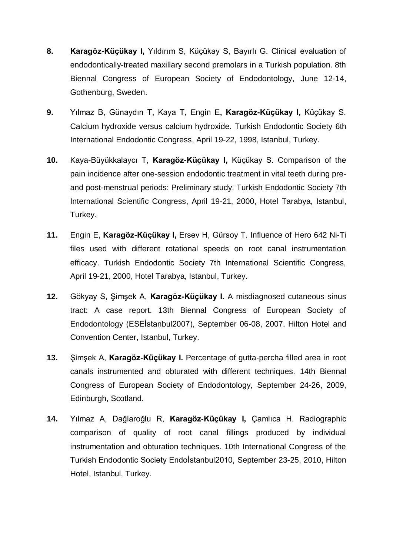- **8. Karagöz-Küçükay I,** Yıldırım S, Küçükay S, Bayırlı G. Clinical evaluation of endodontically-treated maxillary second premolars in a Turkish population. 8th Biennal Congress of European Society of Endodontology, June 12-14, Gothenburg, Sweden.
- **9.** Yılmaz B, Günaydın T, Kaya T, Engin E**, Karagöz-Küçükay I,** Küçükay S. Calcium hydroxide versus calcium hydroxide. Turkish Endodontic Society 6th International Endodontic Congress, April 19-22, 1998, Istanbul, Turkey.
- **10.** Kaya-Büyükkalaycı T, **Karagöz-Küçükay I,** Küçükay S. Comparison of the pain incidence after one-session endodontic treatment in vital teeth during preand post-menstrual periods: Preliminary study. Turkish Endodontic Society 7th International Scientific Congress, April 19-21, 2000, Hotel Tarabya, Istanbul, Turkey.
- **11.** Engin E, **Karagöz-Küçükay I,** Ersev H, Gürsoy T. Influence of Hero 642 Ni-Ti files used with different rotational speeds on root canal instrumentation efficacy. Turkish Endodontic Society 7th International Scientific Congress, April 19-21, 2000, Hotel Tarabya, Istanbul, Turkey.
- **12.** Gökyay S, Şimşek A, **Karagöz-Küçükay I.** A misdiagnosed cutaneous sinus tract: A case report. 13th Biennal Congress of European Society of Endodontology (ESEİstanbul2007), September 06-08, 2007, Hilton Hotel and Convention Center, Istanbul, Turkey.
- **13.** Şimşek A, **Karagöz-Küçükay I.** Percentage of gutta-percha filled area in root canals instrumented and obturated with different techniques. 14th Biennal Congress of European Society of Endodontology, September 24-26, 2009, Edinburgh, Scotland.
- **14.** Yılmaz A, Dağlaroğlu R, **Karagöz-Küçükay I,** Çamlıca H. Radiographic comparison of quality of root canal fillings produced by individual instrumentation and obturation techniques. 10th International Congress of the Turkish Endodontic Society Endoİstanbul2010, September 23-25, 2010, Hilton Hotel, Istanbul, Turkey.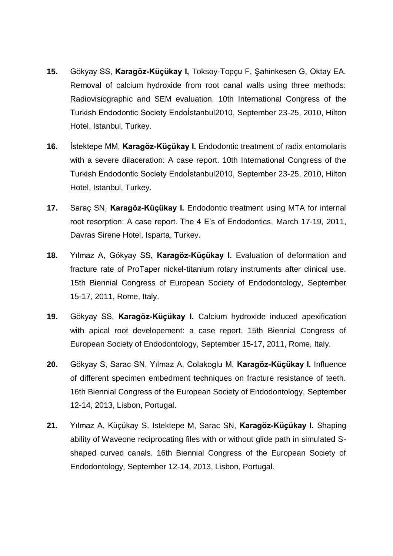- **15.** Gökyay SS, **Karagöz-Küçükay I,** Toksoy-Topçu F, Şahinkesen G, Oktay EA. Removal of calcium hydroxide from root canal walls using three methods: Radiovisiographic and SEM evaluation. 10th International Congress of the Turkish Endodontic Society Endoİstanbul2010, September 23-25, 2010, Hilton Hotel, Istanbul, Turkey.
- **16.** İstektepe MM, **Karagöz-Küçükay I.** Endodontic treatment of radix entomolaris with a severe dilaceration: A case report. 10th International Congress of the Turkish Endodontic Society Endoİstanbul2010, September 23-25, 2010, Hilton Hotel, Istanbul, Turkey.
- **17.** Saraç SN, **Karagöz-Küçükay I.** Endodontic treatment using MTA for internal root resorption: A case report. The 4 E's of Endodontics, March 17-19, 2011, Davras Sirene Hotel, Isparta, Turkey.
- **18.** Yılmaz A, Gökyay SS, **Karagöz-Küçükay I.** Evaluation of deformation and fracture rate of ProTaper nickel-titanium rotary instruments after clinical use. 15th Biennial Congress of European Society of Endodontology, September 15-17, 2011, Rome, Italy.
- **19.** Gökyay SS, **Karagöz-Küçükay I.** Calcium hydroxide induced apexification with apical root developement: a case report. 15th Biennial Congress of European Society of Endodontology, September 15-17, 2011, Rome, Italy.
- **20.** Gökyay S, Sarac SN, Yılmaz A, Colakoglu M, **Karagöz-Küçükay I.** Influence of different specimen embedment techniques on fracture resistance of teeth. 16th Biennial Congress of the European Society of Endodontology, September 12-14, 2013, Lisbon, Portugal.
- **21.** Yılmaz A, Küçükay S, Istektepe M, Sarac SN, **Karagöz-Küçükay I.** Shaping ability of Waveone reciprocating files with or without glide path in simulated Sshaped curved canals. 16th Biennial Congress of the European Society of Endodontology, September 12-14, 2013, Lisbon, Portugal.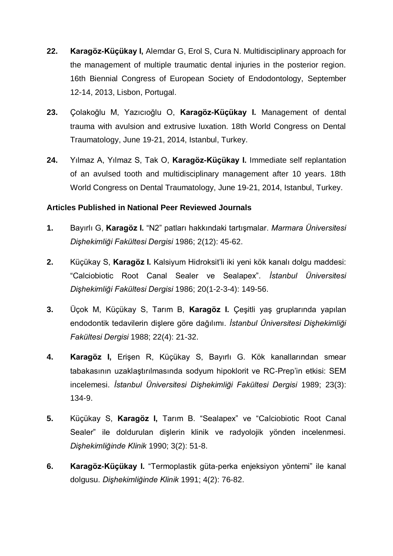- **22. Karagöz-Küçükay I,** Alemdar G, Erol S, Cura N. Multidisciplinary approach for the management of multiple traumatic dental injuries in the posterior region. 16th Biennial Congress of European Society of Endodontology, September 12-14, 2013, Lisbon, Portugal.
- **23.** Çolakoğlu M, Yazıcıoğlu O, **Karagöz-Küçükay I.** Management of dental trauma with avulsion and extrusive luxation. 18th World Congress on Dental Traumatology, June 19-21, 2014, Istanbul, Turkey.
- **24.** Yılmaz A, Yılmaz S, Tak O, **Karagöz-Küçükay I.** Immediate self replantation of an avulsed tooth and multidisciplinary management after 10 years. 18th World Congress on Dental Traumatology, June 19-21, 2014, Istanbul, Turkey.

## **Articles Published in National Peer Reviewed Journals**

- **1.** Bayırlı G, **Karagöz I.** "N2" patları hakkındaki tartışmalar. *Marmara Üniversitesi Dişhekimliği Fakültesi Dergisi* 1986; 2(12): 45-62.
- **2.** Küçükay S, **Karagöz I.** Kalsiyum Hidroksit'li iki yeni kök kanalı dolgu maddesi: "Calciobiotic Root Canal Sealer ve Sealapex". *İstanbul Üniversitesi Dişhekimliği Fakültesi Dergisi* 1986; 20(1-2-3-4): 149-56.
- **3.** Üçok M, Küçükay S, Tarım B, **Karagöz I.** Çeşitli yaş gruplarında yapılan endodontik tedavilerin dişlere göre dağılımı. *İstanbul Üniversitesi Dişhekimliği Fakültesi Dergisi* 1988; 22(4): 21-32.
- **4. Karagöz I,** Erişen R, Küçükay S, Bayırlı G. Kök kanallarından smear tabakasının uzaklaştırılmasında sodyum hipoklorit ve RC-Prep'in etkisi: SEM incelemesi. *İstanbul Üniversitesi Dişhekimliği Fakültesi Dergisi* 1989; 23(3): 134-9.
- **5.** Küçükay S, **Karagöz I,** Tarım B. "Sealapex" ve "Calciobiotic Root Canal Sealer" ile doldurulan dişlerin klinik ve radyolojik yönden incelenmesi. *Dişhekimliğinde Klinik* 1990; 3(2): 51-8.
- **6. Karagöz-Küçükay I.** "Termoplastik güta-perka enjeksiyon yöntemi" ile kanal dolgusu. *Dişhekimliğinde Klinik* 1991; 4(2): 76-82.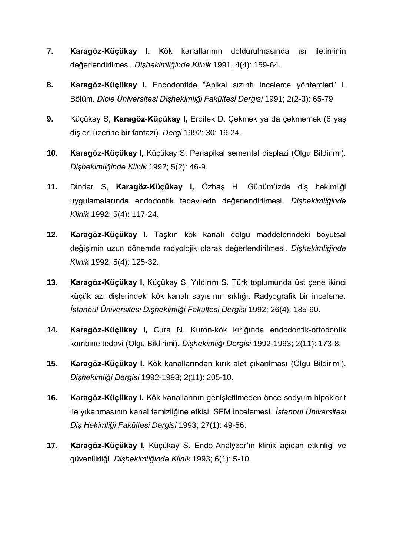- **7. Karagöz-Küçükay I.** Kök kanallarının doldurulmasında ısı iletiminin değerlendirilmesi. *Dişhekimliğinde Klinik* 1991; 4(4): 159-64.
- **8. Karagöz-Küçükay I.** Endodontide "Apikal sızıntı inceleme yöntemleri" I. Bölüm. *Dicle Üniversitesi Dişhekimliği Fakültesi Dergisi* 1991; 2(2-3): 65-79
- **9.** Küçükay S, **Karagöz-Küçükay I,** Erdilek D. Çekmek ya da çekmemek (6 yaş dişleri üzerine bir fantazi). *Dergi* 1992; 30: 19-24.
- **10. Karagöz-Küçükay I,** Küçükay S. Periapikal semental displazi (Olgu Bildirimi). *Dişhekimliğinde Klinik* 1992; 5(2): 46-9.
- **11.** Dindar S, **Karagöz-Küçükay I,** Özbaş H. Günümüzde diş hekimliği uygulamalarında endodontik tedavilerin değerlendirilmesi. *Dişhekimliğinde Klinik* 1992; 5(4): 117-24.
- **12. Karagöz-Küçükay I.** Taşkın kök kanalı dolgu maddelerindeki boyutsal değişimin uzun dönemde radyolojik olarak değerlendirilmesi. *Dişhekimliğinde Klinik* 1992; 5(4): 125-32.
- **13. Karagöz-Küçükay I,** Küçükay S, Yıldırım S. Türk toplumunda üst çene ikinci küçük azı dişlerindeki kök kanalı sayısının sıklığı: Radyografik bir inceleme. *İstanbul Üniversitesi Dişhekimliği Fakültesi Dergisi* 1992; 26(4): 185-90.
- **14. Karagöz-Küçükay I,** Cura N. Kuron-kök kırığında endodontik-ortodontik kombine tedavi (Olgu Bildirimi). *Dişhekimliği Dergisi* 1992-1993; 2(11): 173-8.
- **15. Karagöz-Küçükay I.** Kök kanallarından kırık alet çıkarılması (Olgu Bildirimi). *Dişhekimliği Dergisi* 1992-1993; 2(11): 205-10.
- **16. Karagöz-Küçükay I.** Kök kanallarının genişletilmeden önce sodyum hipoklorit ile yıkanmasının kanal temizliğine etkisi: SEM incelemesi. *İstanbul Üniversitesi Diş Hekimliği Fakültesi Dergisi* 1993; 27(1): 49-56.
- **17. Karagöz-Küçükay I,** Küçükay S. Endo-Analyzer'ın klinik açıdan etkinliği ve güvenilirliği. *Dişhekimliğinde Klinik* 1993; 6(1): 5-10.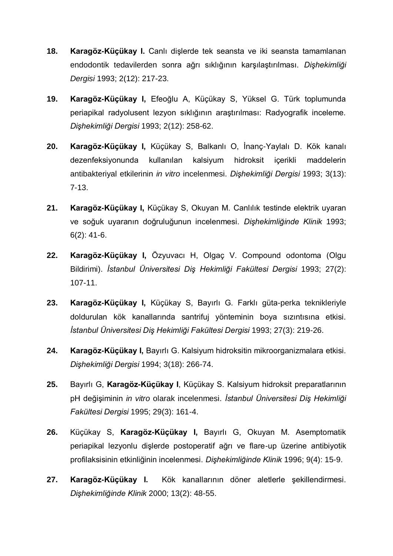- **18. Karagöz-Küçükay I.** Canlı dişlerde tek seansta ve iki seansta tamamlanan endodontik tedavilerden sonra ağrı sıklığının karşılaştırılması. *Dişhekimliği Dergisi* 1993; 2(12): 217-23.
- **19. Karagöz-Küçükay I,** Efeoğlu A, Küçükay S, Yüksel G. Türk toplumunda periapikal radyolusent lezyon sıklığının araştırılması: Radyografik inceleme. *Dişhekimliği Dergisi* 1993; 2(12): 258-62.
- **20. Karagöz-Küçükay I,** Küçükay S, Balkanlı O, İnanç-Yaylalı D. Kök kanalı dezenfeksiyonunda kullanılan kalsiyum hidroksit içerikli maddelerin antibakteriyal etkilerinin *in vitro* incelenmesi. *Dişhekimliği Dergisi* 1993; 3(13): 7-13.
- **21. Karagöz-Küçükay I,** Küçükay S, Okuyan M. Canlılık testinde elektrik uyaran ve soğuk uyaranın doğruluğunun incelenmesi. *Dişhekimliğinde Klinik* 1993; 6(2): 41-6.
- **22. Karagöz-Küçükay I,** Özyuvacı H, Olgaç V. Compound odontoma (Olgu Bildirimi). *İstanbul Üniversitesi Diş Hekimliği Fakültesi Dergisi* 1993; 27(2): 107-11.
- **23. Karagöz-Küçükay I,** Küçükay S, Bayırlı G. Farklı güta-perka teknikleriyle doldurulan kök kanallarında santrifuj yönteminin boya sızıntısına etkisi. *İstanbul Üniversitesi Diş Hekimliği Fakültesi Dergisi* 1993; 27(3): 219-26.
- **24. Karagöz-Küçükay I,** Bayırlı G. Kalsiyum hidroksitin mikroorganizmalara etkisi. *Dişhekimliği Dergisi* 1994; 3(18): 266-74.
- **25.** Bayırlı G, **Karagöz-Küçükay I**, Küçükay S. Kalsiyum hidroksit preparatlarının pH değişiminin *in vitro* olarak incelenmesi. *İstanbul Üniversitesi Diş Hekimliği Fakültesi Dergisi* 1995; 29(3): 161-4.
- **26.** Küçükay S, **Karagöz-Küçükay I,** Bayırlı G, Okuyan M. Asemptomatik periapikal lezyonlu dişlerde postoperatif ağrı ve flare-up üzerine antibiyotik profilaksisinin etkinliğinin incelenmesi. *Dişhekimliğinde Klinik* 1996; 9(4): 15-9.
- **27. Karagöz-Küçükay I.** Kök kanallarının döner aletlerle şekillendirmesi. *Dişhekimliğinde Klinik* 2000; 13(2): 48-55.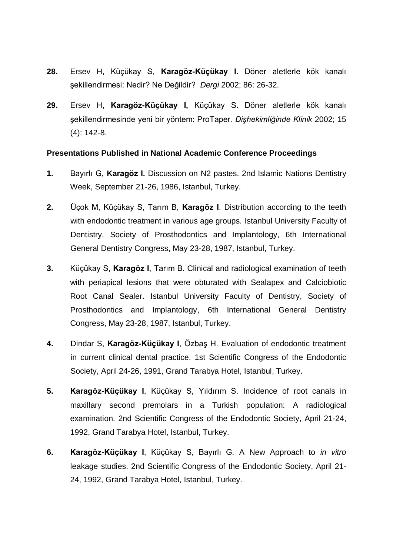- **28.** Ersev H, Küçükay S, **Karagöz-Küçükay I.** Döner aletlerle kök kanalı şekillendirmesi: Nedir? Ne Değildir? *Dergi* 2002; 86: 26-32.
- **29.** Ersev H, **Karagöz-Küçükay I,** Küçükay S. Döner aletlerle kök kanalı şekillendirmesinde yeni bir yöntem: ProTaper. *Dişhekimliğinde Klinik* 2002; 15 (4): 142-8.

#### **Presentations Published in National Academic Conference Proceedings**

- **1.** Bayırlı G, **Karagöz I.** Discussion on N2 pastes. 2nd Islamic Nations Dentistry Week, September 21-26, 1986, Istanbul, Turkey.
- **2.** Üçok M, Küçükay S, Tarım B, **Karagöz I**. Distribution according to the teeth with endodontic treatment in various age groups. Istanbul University Faculty of Dentistry, Society of Prosthodontics and Implantology, 6th International General Dentistry Congress, May 23-28, 1987, Istanbul, Turkey.
- **3.** Küçükay S, **Karagöz I**, Tarım B. Clinical and radiological examination of teeth with periapical lesions that were obturated with Sealapex and Calciobiotic Root Canal Sealer. Istanbul University Faculty of Dentistry, Society of Prosthodontics and Implantology, 6th International General Dentistry Congress, May 23-28, 1987, Istanbul, Turkey.
- **4.** Dindar S, **Karagöz-Küçükay I**, Özbaş H. Evaluation of endodontic treatment in current clinical dental practice. 1st Scientific Congress of the Endodontic Society, April 24-26, 1991, Grand Tarabya Hotel, Istanbul, Turkey.
- **5. Karagöz-Küçükay I**, Küçükay S, Yıldırım S. Incidence of root canals in maxillary second premolars in a Turkish population: A radiological examination. 2nd Scientific Congress of the Endodontic Society, April 21-24, 1992, Grand Tarabya Hotel, Istanbul, Turkey.
- **6. Karagöz-Küçükay I**, Küçükay S, Bayırlı G. A New Approach to *in vitro* leakage studies. 2nd Scientific Congress of the Endodontic Society, April 21- 24, 1992, Grand Tarabya Hotel, Istanbul, Turkey.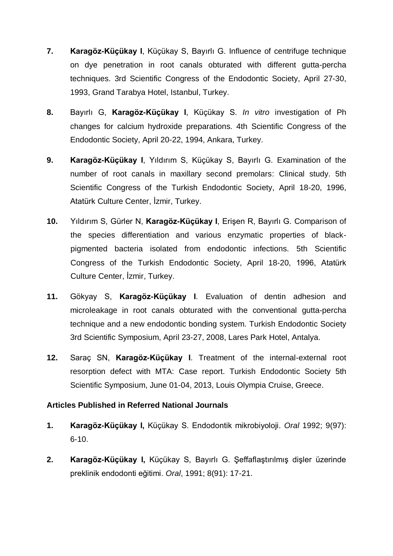- **7. Karagöz-Küçükay I**, Küçükay S, Bayırlı G. Influence of centrifuge technique on dye penetration in root canals obturated with different gutta-percha techniques. 3rd Scientific Congress of the Endodontic Society, April 27-30, 1993, Grand Tarabya Hotel, Istanbul, Turkey.
- **8.** Bayırlı G, **Karagöz-Küçükay I**, Küçükay S. *In vitro* investigation of Ph changes for calcium hydroxide preparations. 4th Scientific Congress of the Endodontic Society, April 20-22, 1994, Ankara, Turkey.
- **9. Karagöz-Küçükay I**, Yıldırım S, Küçükay S, Bayırlı G. Examination of the number of root canals in maxillary second premolars: Clinical study. 5th Scientific Congress of the Turkish Endodontic Society, April 18-20, 1996, Atatürk Culture Center, İzmir, Turkey.
- **10.** Yıldırım S, Gürler N, **Karagöz-Küçükay I**, Erişen R, Bayırlı G. Comparison of the species differentiation and various enzymatic properties of blackpigmented bacteria isolated from endodontic infections. 5th Scientific Congress of the Turkish Endodontic Society, April 18-20, 1996, Atatürk Culture Center, İzmir, Turkey.
- **11.** Gökyay S, **Karagöz-Küçükay I**. Evaluation of dentin adhesion and microleakage in root canals obturated with the conventional gutta-percha technique and a new endodontic bonding system. Turkish Endodontic Society 3rd Scientific Symposium, April 23-27, 2008, Lares Park Hotel, Antalya.
- **12.** Saraç SN, **Karagöz-Küçükay I**. Treatment of the internal-external root resorption defect with MTA: Case report. Turkish Endodontic Society 5th Scientific Symposium, June 01-04, 2013, Louis Olympia Cruise, Greece.

## **Articles Published in Referred National Journals**

- **1. Karagöz-Küçükay I,** Küçükay S. Endodontik mikrobiyoloji. *Oral* 1992; 9(97): 6-10.
- **2. Karagöz-Küçükay I,** Küçükay S, Bayırlı G. Şeffaflaştırılmış dişler üzerinde preklinik endodonti eğitimi. *Oral*, 1991; 8(91): 17-21.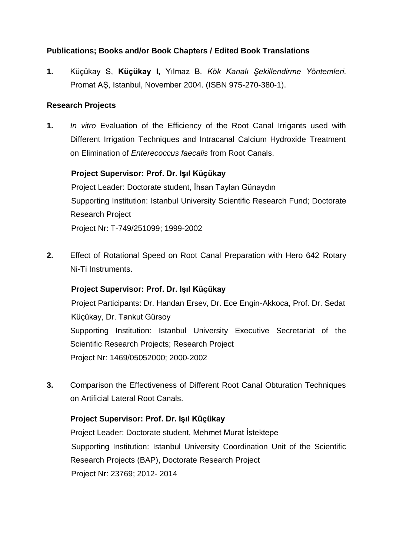## **Publications; Books and/or Book Chapters / Edited Book Translations**

**1.** Küçükay S, **Küçükay I,** Yılmaz B. *Kök Kanalı Şekillendirme Yöntemleri*. Promat AŞ, Istanbul, November 2004. (ISBN 975-270-380-1).

## **Research Projects**

**1.** *In vitro* Evaluation of the Efficiency of the Root Canal Irrigants used with Different Irrigation Techniques and Intracanal Calcium Hydroxide Treatment on Elimination of *Enterecoccus faecalis* from Root Canals.

## **Project Supervisor: Prof. Dr. Işıl Küçükay**

 Project Leader: Doctorate student, İhsan Taylan Günaydın Supporting Institution: Istanbul University Scientific Research Fund; Doctorate Research Project Project Nr: T-749/251099; 1999-2002

**2.** Effect of Rotational Speed on Root Canal Preparation with Hero 642 Rotary Ni-Ti Instruments.

## **Project Supervisor: Prof. Dr. Işıl Küçükay**

 Project Participants: Dr. Handan Ersev, Dr. Ece Engin-Akkoca, Prof. Dr. Sedat Küçükay, Dr. Tankut Gürsoy Supporting Institution: Istanbul University Executive Secretariat of the Scientific Research Projects; Research Project Project Nr: 1469/05052000; 2000-2002

**3.** Comparison the Effectiveness of Different Root Canal Obturation Techniques on Artificial Lateral Root Canals.

#### **Project Supervisor: Prof. Dr. Işıl Küçükay**

Project Leader: Doctorate student, Mehmet Murat İstektepe Supporting Institution: Istanbul University Coordination Unit of the Scientific Research Projects (BAP), Doctorate Research Project Project Nr: 23769; 2012- 2014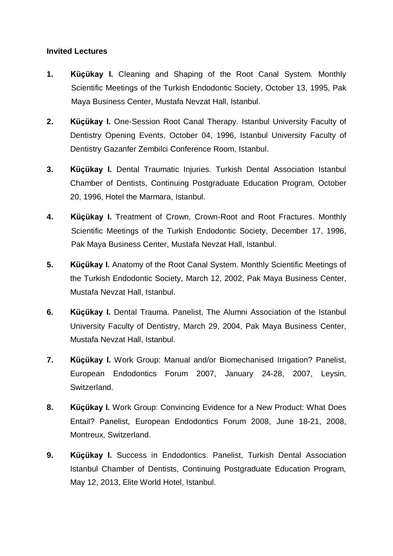## **Invited Lectures**

- **1. Küçükay I.** Cleaning and Shaping of the Root Canal System. Monthly Scientific Meetings of the Turkish Endodontic Society, October 13, 1995, Pak Maya Business Center, Mustafa Nevzat Hall, Istanbul.
- **2. Küçükay I.** One-Session Root Canal Therapy. Istanbul University Faculty of Dentistry Opening Events, October 04, 1996, Istanbul University Faculty of Dentistry Gazanfer Zembilci Conference Room, Istanbul.
- **3. Küçükay I.** Dental Traumatic Injuries. Turkish Dental Association Istanbul Chamber of Dentists, Continuing Postgraduate Education Program, October 20, 1996, Hotel the Marmara, Istanbul.
- **4. Küçükay I.** Treatment of Crown, Crown-Root and Root Fractures. Monthly Scientific Meetings of the Turkish Endodontic Society, December 17, 1996, Pak Maya Business Center, Mustafa Nevzat Hall, Istanbul.
- **5. Küçükay I.** Anatomy of the Root Canal System. Monthly Scientific Meetings of the Turkish Endodontic Society, March 12, 2002, Pak Maya Business Center, Mustafa Nevzat Hall, Istanbul.
- **6. Küçükay I.** Dental Trauma. Panelist, The Alumni Association of the Istanbul University Faculty of Dentistry, March 29, 2004, Pak Maya Business Center, Mustafa Nevzat Hall, Istanbul.
- **7. Küçükay I.** Work Group: Manual and/or Biomechanised Irrigation? Panelist, European Endodontics Forum 2007, January 24-28, 2007, Leysin, Switzerland.
- **8. Küçükay I.** Work Group: Convincing Evidence for a New Product: What Does Entail? Panelist, European Endodontics Forum 2008, June 18-21, 2008, Montreux, Switzerland.
- **9. Küçükay I.** Success in Endodontics. Panelist, Turkish Dental Association Istanbul Chamber of Dentists, Continuing Postgraduate Education Program, May 12, 2013, Elite World Hotel, Istanbul.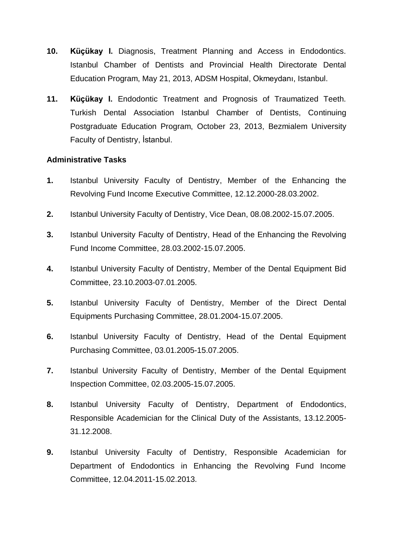- **10. Küçükay I.** Diagnosis, Treatment Planning and Access in Endodontics. Istanbul Chamber of Dentists and Provincial Health Directorate Dental Education Program, May 21, 2013, ADSM Hospital, Okmeydanı, Istanbul.
- **11. Küçükay I.** Endodontic Treatment and Prognosis of Traumatized Teeth. Turkish Dental Association Istanbul Chamber of Dentists, Continuing Postgraduate Education Program, October 23, 2013, Bezmialem University Faculty of Dentistry, İstanbul.

## **Administrative Tasks**

- **1.** Istanbul University Faculty of Dentistry, Member of the Enhancing the Revolving Fund Income Executive Committee, 12.12.2000-28.03.2002.
- **2.** Istanbul University Faculty of Dentistry, Vice Dean, 08.08.2002-15.07.2005.
- **3.** Istanbul University Faculty of Dentistry, Head of the Enhancing the Revolving Fund Income Committee, 28.03.2002-15.07.2005.
- **4.** Istanbul University Faculty of Dentistry, Member of the Dental Equipment Bid Committee, 23.10.2003-07.01.2005.
- **5.** Istanbul University Faculty of Dentistry, Member of the Direct Dental Equipments Purchasing Committee, 28.01.2004-15.07.2005.
- **6.** Istanbul University Faculty of Dentistry, Head of the Dental Equipment Purchasing Committee, 03.01.2005-15.07.2005.
- **7.** Istanbul University Faculty of Dentistry, Member of the Dental Equipment Inspection Committee, 02.03.2005-15.07.2005.
- **8.** Istanbul University Faculty of Dentistry, Department of Endodontics, Responsible Academician for the Clinical Duty of the Assistants, 13.12.2005- 31.12.2008.
- **9.** Istanbul University Faculty of Dentistry, Responsible Academician for Department of Endodontics in Enhancing the Revolving Fund Income Committee, 12.04.2011-15.02.2013.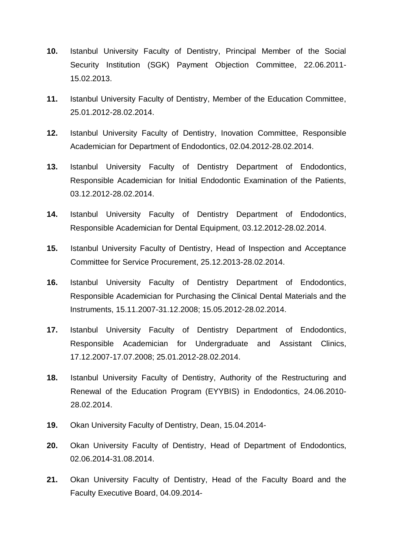- **10.** Istanbul University Faculty of Dentistry, Principal Member of the Social Security Institution (SGK) Payment Objection Committee, 22.06.2011- 15.02.2013.
- **11.** Istanbul University Faculty of Dentistry, Member of the Education Committee, 25.01.2012-28.02.2014.
- **12.** Istanbul University Faculty of Dentistry, Inovation Committee, Responsible Academician for Department of Endodontics, 02.04.2012-28.02.2014.
- **13.** Istanbul University Faculty of Dentistry Department of Endodontics, Responsible Academician for Initial Endodontic Examination of the Patients, 03.12.2012-28.02.2014.
- **14.** Istanbul University Faculty of Dentistry Department of Endodontics, Responsible Academician for Dental Equipment, 03.12.2012-28.02.2014.
- **15.** Istanbul University Faculty of Dentistry, Head of Inspection and Acceptance Committee for Service Procurement, 25.12.2013-28.02.2014.
- **16.** Istanbul University Faculty of Dentistry Department of Endodontics, Responsible Academician for Purchasing the Clinical Dental Materials and the Instruments, 15.11.2007-31.12.2008; 15.05.2012-28.02.2014.
- **17.** Istanbul University Faculty of Dentistry Department of Endodontics, Responsible Academician for Undergraduate and Assistant Clinics, 17.12.2007-17.07.2008; 25.01.2012-28.02.2014.
- **18.** Istanbul University Faculty of Dentistry, Authority of the Restructuring and Renewal of the Education Program (EYYBIS) in Endodontics, 24.06.2010- 28.02.2014.
- **19.** Okan University Faculty of Dentistry, Dean, 15.04.2014-
- **20.** Okan University Faculty of Dentistry, Head of Department of Endodontics, 02.06.2014-31.08.2014.
- **21.** Okan University Faculty of Dentistry, Head of the Faculty Board and the Faculty Executive Board, 04.09.2014-